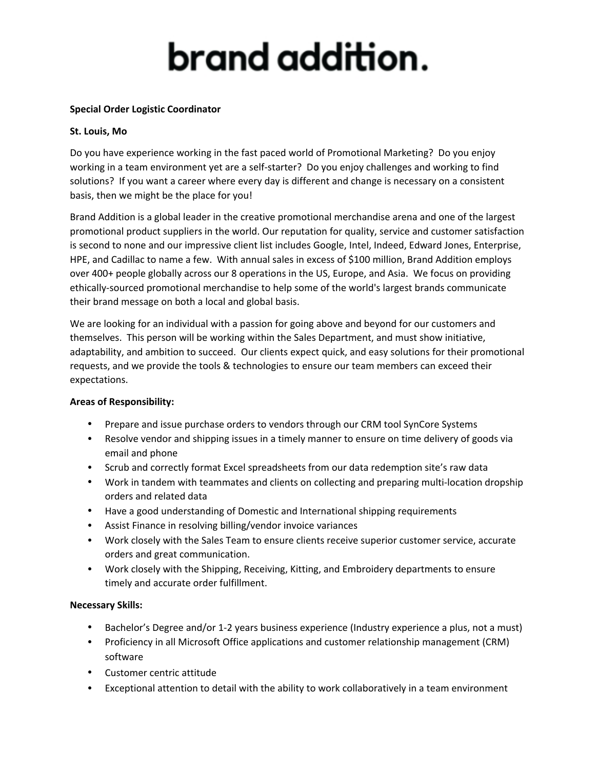# brand addition.

### **Special Order Logistic Coordinator**

#### **St. Louis, Mo**

Do you have experience working in the fast paced world of Promotional Marketing? Do you enjoy working in a team environment yet are a self-starter? Do you enjoy challenges and working to find solutions? If you want a career where every day is different and change is necessary on a consistent basis, then we might be the place for you!

Brand Addition is a global leader in the creative promotional merchandise arena and one of the largest promotional product suppliers in the world. Our reputation for quality, service and customer satisfaction is second to none and our impressive client list includes Google, Intel, Indeed, Edward Jones, Enterprise, HPE, and Cadillac to name a few. With annual sales in excess of \$100 million, Brand Addition employs over 400+ people globally across our 8 operations in the US, Europe, and Asia. We focus on providing ethically‐sourced promotional merchandise to help some of the world's largest brands communicate their brand message on both a local and global basis.

We are looking for an individual with a passion for going above and beyond for our customers and themselves. This person will be working within the Sales Department, and must show initiative, adaptability, and ambition to succeed. Our clients expect quick, and easy solutions for their promotional requests, and we provide the tools & technologies to ensure our team members can exceed their expectations.

#### **Areas of Responsibility:**

- Prepare and issue purchase orders to vendors through our CRM tool SynCore Systems
- Resolve vendor and shipping issues in a timely manner to ensure on time delivery of goods via email and phone
- Scrub and correctly format Excel spreadsheets from our data redemption site's raw data
- Work in tandem with teammates and clients on collecting and preparing multi-location dropship orders and related data
- Have a good understanding of Domestic and International shipping requirements
- Assist Finance in resolving billing/vendor invoice variances
- Work closely with the Sales Team to ensure clients receive superior customer service, accurate orders and great communication.
- Work closely with the Shipping, Receiving, Kitting, and Embroidery departments to ensure timely and accurate order fulfillment.

#### **Necessary Skills:**

- Bachelor's Degree and/or 1-2 years business experience (Industry experience a plus, not a must)
- Proficiency in all Microsoft Office applications and customer relationship management (CRM) software
- Customer centric attitude
- Exceptional attention to detail with the ability to work collaboratively in a team environment